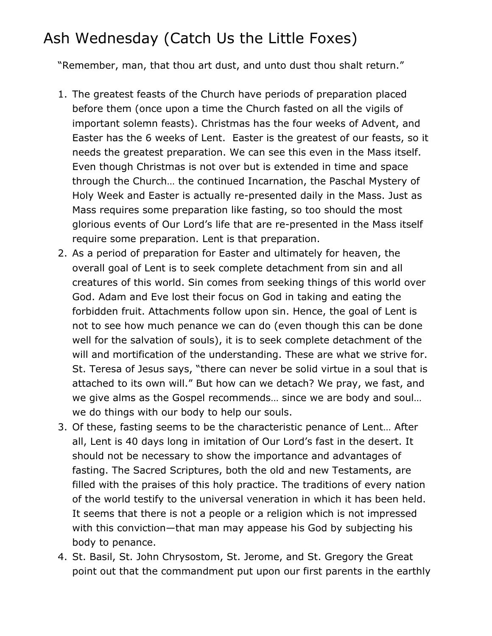## Ash Wednesday (Catch Us the Little Foxes)

"Remember, man, that thou art dust, and unto dust thou shalt return."

- 1. The greatest feasts of the Church have periods of preparation placed before them (once upon a time the Church fasted on all the vigils of important solemn feasts). Christmas has the four weeks of Advent, and Easter has the 6 weeks of Lent. Easter is the greatest of our feasts, so it needs the greatest preparation. We can see this even in the Mass itself. Even though Christmas is not over but is extended in time and space through the Church… the continued Incarnation, the Paschal Mystery of Holy Week and Easter is actually re-presented daily in the Mass. Just as Mass requires some preparation like fasting, so too should the most glorious events of Our Lord's life that are re-presented in the Mass itself require some preparation. Lent is that preparation.
- 2. As a period of preparation for Easter and ultimately for heaven, the overall goal of Lent is to seek complete detachment from sin and all creatures of this world. Sin comes from seeking things of this world over God. Adam and Eve lost their focus on God in taking and eating the forbidden fruit. Attachments follow upon sin. Hence, the goal of Lent is not to see how much penance we can do (even though this can be done well for the salvation of souls), it is to seek complete detachment of the will and mortification of the understanding. These are what we strive for. St. Teresa of Jesus says, "there can never be solid virtue in a soul that is attached to its own will." But how can we detach? We pray, we fast, and we give alms as the Gospel recommends… since we are body and soul… we do things with our body to help our souls.
- 3. Of these, fasting seems to be the characteristic penance of Lent… After all, Lent is 40 days long in imitation of Our Lord's fast in the desert. It should not be necessary to show the importance and advantages of fasting. The Sacred Scriptures, both the old and new Testaments, are filled with the praises of this holy practice. The traditions of every nation of the world testify to the universal veneration in which it has been held. It seems that there is not a people or a religion which is not impressed with this conviction—that man may appease his God by subjecting his body to penance.
- 4. St. Basil, St. John Chrysostom, St. Jerome, and St. Gregory the Great point out that the commandment put upon our first parents in the earthly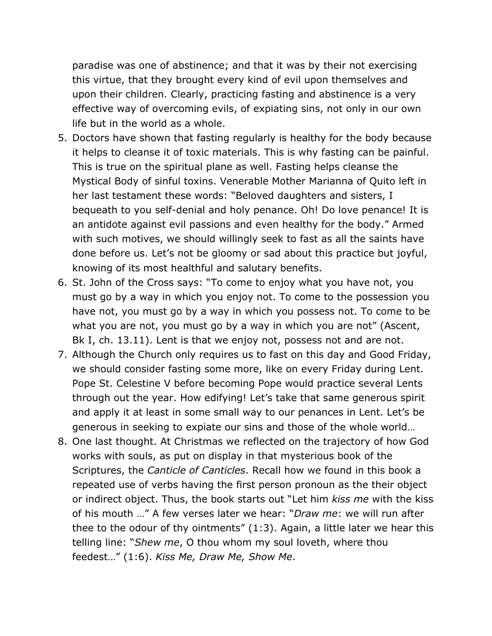paradise was one of abstinence; and that it was by their not exercising this virtue, that they brought every kind of evil upon themselves and upon their children. Clearly, practicing fasting and abstinence is a very effective way of overcoming evils, of expiating sins, not only in our own life but in the world as a whole.

- 5. Doctors have shown that fasting regularly is healthy for the body because it helps to cleanse it of toxic materials. This is why fasting can be painful. This is true on the spiritual plane as well. Fasting helps cleanse the Mystical Body of sinful toxins. Venerable Mother Marianna of Quito left in her last testament these words: "Beloved daughters and sisters, I bequeath to you self-denial and holy penance. Oh! Do love penance! It is an antidote against evil passions and even healthy for the body." Armed with such motives, we should willingly seek to fast as all the saints have done before us. Let's not be gloomy or sad about this practice but joyful, knowing of its most healthful and salutary benefits.
- 6. St. John of the Cross says: "To come to enjoy what you have not, you must go by a way in which you enjoy not. To come to the possession you have not, you must go by a way in which you possess not. To come to be what you are not, you must go by a way in which you are not" (Ascent, Bk I, ch. 13.11). Lent is that we enjoy not, possess not and are not.
- 7. Although the Church only requires us to fast on this day and Good Friday, we should consider fasting some more, like on every Friday during Lent. Pope St. Celestine V before becoming Pope would practice several Lents through out the year. How edifying! Let's take that same generous spirit and apply it at least in some small way to our penances in Lent. Let's be generous in seeking to expiate our sins and those of the whole world…
- 8. One last thought. At Christmas we reflected on the trajectory of how God works with souls, as put on display in that mysterious book of the Scriptures, the *Canticle of Canticles*. Recall how we found in this book a repeated use of verbs having the first person pronoun as the their object or indirect object. Thus, the book starts out "Let him *kiss me* with the kiss of his mouth …" A few verses later we hear: "*Draw me*: we will run after thee to the odour of thy ointments" (1:3). Again, a little later we hear this telling line: "*Shew me*, O thou whom my soul loveth, where thou feedest…" (1:6). *Kiss Me, Draw Me, Show Me*.